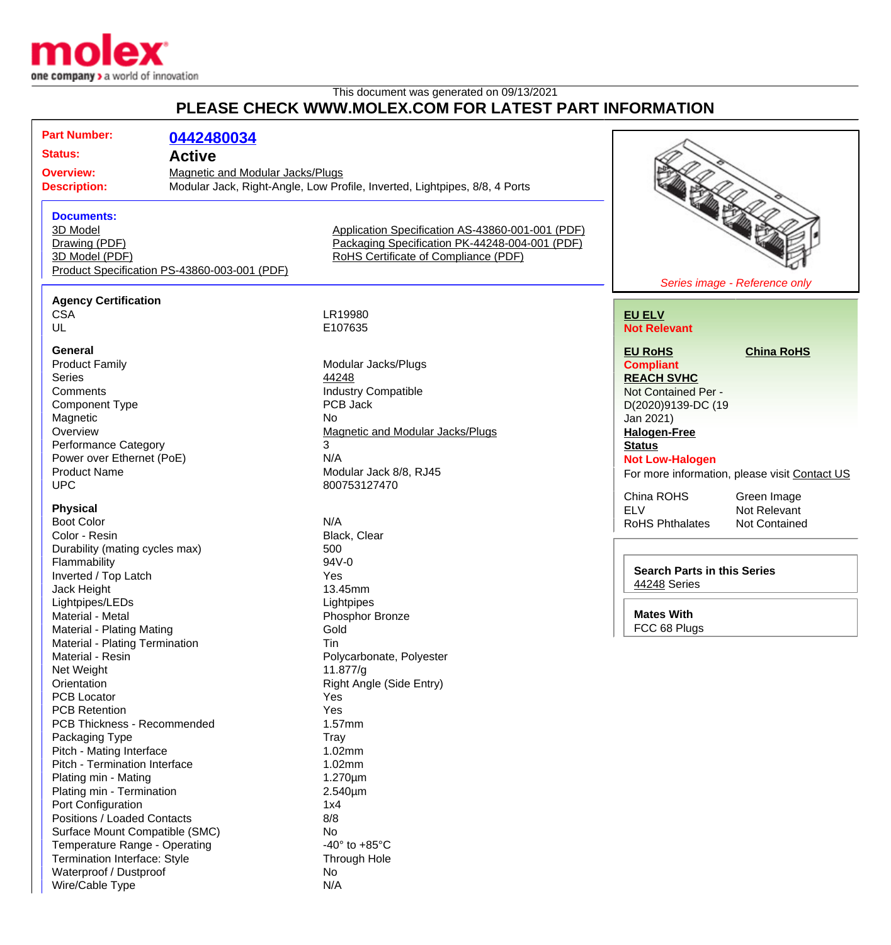

Waterproof / Dustproof No Wire/Cable Type N/A

## This document was generated on 09/13/2021 **PLEASE CHECK WWW.MOLEX.COM FOR LATEST PART INFORMATION**

| <b>Part Number:</b><br>0442480034<br><b>Status:</b><br><b>Active</b><br><b>Magnetic and Modular Jacks/Plugs</b><br><b>Overview:</b><br>Modular Jack, Right-Angle, Low Profile, Inverted, Lightpipes, 8/8, 4 Ports<br><b>Description:</b><br><b>Documents:</b><br>3D Model<br>Application Specification AS-43860-001-001 (PDF)<br>Packaging Specification PK-44248-004-001 (PDF)<br>Drawing (PDF)<br>3D Model (PDF)<br>RoHS Certificate of Compliance (PDF)<br>Product Specification PS-43860-003-001 (PDF)<br>Series image - Reference only<br><b>Agency Certification</b><br><b>CSA</b><br>LR19980<br><b>EU ELV</b><br>UL<br>E107635<br><b>Not Relevant</b><br><b>General</b><br><b>China RoHS</b><br><b>EU RoHS</b><br><b>Product Family</b><br>Modular Jacks/Plugs<br><b>Compliant</b><br>Series<br>44248<br><b>REACH SVHC</b><br><b>Industry Compatible</b><br>Comments<br>Not Contained Per -<br>PCB Jack<br><b>Component Type</b><br>D(2020)9139-DC (19<br>Magnetic<br>No<br>Jan 2021)<br>Overview<br>Magnetic and Modular Jacks/Plugs<br><b>Halogen-Free</b><br><b>Performance Category</b><br>3<br><b>Status</b><br>Power over Ethernet (PoE)<br>N/A<br><b>Not Low-Halogen</b><br><b>Product Name</b><br>Modular Jack 8/8, RJ45<br>For more information, please visit Contact US<br><b>UPC</b><br>800753127470<br>China ROHS<br>Green Image<br><b>Physical</b><br><b>ELV</b><br>Not Relevant<br><b>Boot Color</b><br>N/A<br><b>RoHS Phthalates</b><br>Not Contained<br>Color - Resin<br>Black, Clear<br>Durability (mating cycles max)<br>500<br>Flammability<br>94V-0<br><b>Search Parts in this Series</b><br>Inverted / Top Latch<br>Yes<br>44248 Series<br>Jack Height<br>13.45mm<br>Lightpipes/LEDs<br>Lightpipes<br><b>Mates With</b><br>Material - Metal<br>Phosphor Bronze<br>FCC 68 Plugs<br>Material - Plating Mating<br>Gold<br>Material - Plating Termination<br>Tin<br>Material - Resin<br>Polycarbonate, Polyester<br>Net Weight<br>11.877/g<br>Orientation<br>Right Angle (Side Entry)<br><b>PCB Locator</b><br>Yes<br><b>PCB Retention</b><br>Yes<br>PCB Thickness - Recommended<br>1.57mm<br>Packaging Type<br>Tray<br>Pitch - Mating Interface<br>1.02mm<br>Pitch - Termination Interface<br>1.02mm<br>$1.270 \mu m$<br>Plating min - Mating<br>Plating min - Termination<br>2.540µm<br>Port Configuration<br>1x4<br>Positions / Loaded Contacts<br>8/8<br>Surface Mount Compatible (SMC)<br>No<br>Temperature Range - Operating<br>-40 $\degree$ to +85 $\degree$ C<br>Termination Interface: Style<br>Through Hole |  |  | FLEASE UNEUN WWW.MULEA.UUM FUN LATEST FANT INFUNMATIUN |  |
|------------------------------------------------------------------------------------------------------------------------------------------------------------------------------------------------------------------------------------------------------------------------------------------------------------------------------------------------------------------------------------------------------------------------------------------------------------------------------------------------------------------------------------------------------------------------------------------------------------------------------------------------------------------------------------------------------------------------------------------------------------------------------------------------------------------------------------------------------------------------------------------------------------------------------------------------------------------------------------------------------------------------------------------------------------------------------------------------------------------------------------------------------------------------------------------------------------------------------------------------------------------------------------------------------------------------------------------------------------------------------------------------------------------------------------------------------------------------------------------------------------------------------------------------------------------------------------------------------------------------------------------------------------------------------------------------------------------------------------------------------------------------------------------------------------------------------------------------------------------------------------------------------------------------------------------------------------------------------------------------------------------------------------------------------------------------------------------------------------------------------------------------------------------------------------------------------------------------------------------------------------------------------------------------------------------------------------------------------------------------------------------------------------------------------------------------------------------------------------------------------------------------------------------------|--|--|--------------------------------------------------------|--|
|                                                                                                                                                                                                                                                                                                                                                                                                                                                                                                                                                                                                                                                                                                                                                                                                                                                                                                                                                                                                                                                                                                                                                                                                                                                                                                                                                                                                                                                                                                                                                                                                                                                                                                                                                                                                                                                                                                                                                                                                                                                                                                                                                                                                                                                                                                                                                                                                                                                                                                                                                |  |  |                                                        |  |
|                                                                                                                                                                                                                                                                                                                                                                                                                                                                                                                                                                                                                                                                                                                                                                                                                                                                                                                                                                                                                                                                                                                                                                                                                                                                                                                                                                                                                                                                                                                                                                                                                                                                                                                                                                                                                                                                                                                                                                                                                                                                                                                                                                                                                                                                                                                                                                                                                                                                                                                                                |  |  |                                                        |  |
|                                                                                                                                                                                                                                                                                                                                                                                                                                                                                                                                                                                                                                                                                                                                                                                                                                                                                                                                                                                                                                                                                                                                                                                                                                                                                                                                                                                                                                                                                                                                                                                                                                                                                                                                                                                                                                                                                                                                                                                                                                                                                                                                                                                                                                                                                                                                                                                                                                                                                                                                                |  |  |                                                        |  |
|                                                                                                                                                                                                                                                                                                                                                                                                                                                                                                                                                                                                                                                                                                                                                                                                                                                                                                                                                                                                                                                                                                                                                                                                                                                                                                                                                                                                                                                                                                                                                                                                                                                                                                                                                                                                                                                                                                                                                                                                                                                                                                                                                                                                                                                                                                                                                                                                                                                                                                                                                |  |  |                                                        |  |
|                                                                                                                                                                                                                                                                                                                                                                                                                                                                                                                                                                                                                                                                                                                                                                                                                                                                                                                                                                                                                                                                                                                                                                                                                                                                                                                                                                                                                                                                                                                                                                                                                                                                                                                                                                                                                                                                                                                                                                                                                                                                                                                                                                                                                                                                                                                                                                                                                                                                                                                                                |  |  |                                                        |  |
|                                                                                                                                                                                                                                                                                                                                                                                                                                                                                                                                                                                                                                                                                                                                                                                                                                                                                                                                                                                                                                                                                                                                                                                                                                                                                                                                                                                                                                                                                                                                                                                                                                                                                                                                                                                                                                                                                                                                                                                                                                                                                                                                                                                                                                                                                                                                                                                                                                                                                                                                                |  |  |                                                        |  |
|                                                                                                                                                                                                                                                                                                                                                                                                                                                                                                                                                                                                                                                                                                                                                                                                                                                                                                                                                                                                                                                                                                                                                                                                                                                                                                                                                                                                                                                                                                                                                                                                                                                                                                                                                                                                                                                                                                                                                                                                                                                                                                                                                                                                                                                                                                                                                                                                                                                                                                                                                |  |  |                                                        |  |
|                                                                                                                                                                                                                                                                                                                                                                                                                                                                                                                                                                                                                                                                                                                                                                                                                                                                                                                                                                                                                                                                                                                                                                                                                                                                                                                                                                                                                                                                                                                                                                                                                                                                                                                                                                                                                                                                                                                                                                                                                                                                                                                                                                                                                                                                                                                                                                                                                                                                                                                                                |  |  |                                                        |  |
|                                                                                                                                                                                                                                                                                                                                                                                                                                                                                                                                                                                                                                                                                                                                                                                                                                                                                                                                                                                                                                                                                                                                                                                                                                                                                                                                                                                                                                                                                                                                                                                                                                                                                                                                                                                                                                                                                                                                                                                                                                                                                                                                                                                                                                                                                                                                                                                                                                                                                                                                                |  |  |                                                        |  |
|                                                                                                                                                                                                                                                                                                                                                                                                                                                                                                                                                                                                                                                                                                                                                                                                                                                                                                                                                                                                                                                                                                                                                                                                                                                                                                                                                                                                                                                                                                                                                                                                                                                                                                                                                                                                                                                                                                                                                                                                                                                                                                                                                                                                                                                                                                                                                                                                                                                                                                                                                |  |  |                                                        |  |
|                                                                                                                                                                                                                                                                                                                                                                                                                                                                                                                                                                                                                                                                                                                                                                                                                                                                                                                                                                                                                                                                                                                                                                                                                                                                                                                                                                                                                                                                                                                                                                                                                                                                                                                                                                                                                                                                                                                                                                                                                                                                                                                                                                                                                                                                                                                                                                                                                                                                                                                                                |  |  |                                                        |  |
|                                                                                                                                                                                                                                                                                                                                                                                                                                                                                                                                                                                                                                                                                                                                                                                                                                                                                                                                                                                                                                                                                                                                                                                                                                                                                                                                                                                                                                                                                                                                                                                                                                                                                                                                                                                                                                                                                                                                                                                                                                                                                                                                                                                                                                                                                                                                                                                                                                                                                                                                                |  |  |                                                        |  |
|                                                                                                                                                                                                                                                                                                                                                                                                                                                                                                                                                                                                                                                                                                                                                                                                                                                                                                                                                                                                                                                                                                                                                                                                                                                                                                                                                                                                                                                                                                                                                                                                                                                                                                                                                                                                                                                                                                                                                                                                                                                                                                                                                                                                                                                                                                                                                                                                                                                                                                                                                |  |  |                                                        |  |
|                                                                                                                                                                                                                                                                                                                                                                                                                                                                                                                                                                                                                                                                                                                                                                                                                                                                                                                                                                                                                                                                                                                                                                                                                                                                                                                                                                                                                                                                                                                                                                                                                                                                                                                                                                                                                                                                                                                                                                                                                                                                                                                                                                                                                                                                                                                                                                                                                                                                                                                                                |  |  |                                                        |  |
|                                                                                                                                                                                                                                                                                                                                                                                                                                                                                                                                                                                                                                                                                                                                                                                                                                                                                                                                                                                                                                                                                                                                                                                                                                                                                                                                                                                                                                                                                                                                                                                                                                                                                                                                                                                                                                                                                                                                                                                                                                                                                                                                                                                                                                                                                                                                                                                                                                                                                                                                                |  |  |                                                        |  |
|                                                                                                                                                                                                                                                                                                                                                                                                                                                                                                                                                                                                                                                                                                                                                                                                                                                                                                                                                                                                                                                                                                                                                                                                                                                                                                                                                                                                                                                                                                                                                                                                                                                                                                                                                                                                                                                                                                                                                                                                                                                                                                                                                                                                                                                                                                                                                                                                                                                                                                                                                |  |  |                                                        |  |
|                                                                                                                                                                                                                                                                                                                                                                                                                                                                                                                                                                                                                                                                                                                                                                                                                                                                                                                                                                                                                                                                                                                                                                                                                                                                                                                                                                                                                                                                                                                                                                                                                                                                                                                                                                                                                                                                                                                                                                                                                                                                                                                                                                                                                                                                                                                                                                                                                                                                                                                                                |  |  |                                                        |  |
|                                                                                                                                                                                                                                                                                                                                                                                                                                                                                                                                                                                                                                                                                                                                                                                                                                                                                                                                                                                                                                                                                                                                                                                                                                                                                                                                                                                                                                                                                                                                                                                                                                                                                                                                                                                                                                                                                                                                                                                                                                                                                                                                                                                                                                                                                                                                                                                                                                                                                                                                                |  |  |                                                        |  |
|                                                                                                                                                                                                                                                                                                                                                                                                                                                                                                                                                                                                                                                                                                                                                                                                                                                                                                                                                                                                                                                                                                                                                                                                                                                                                                                                                                                                                                                                                                                                                                                                                                                                                                                                                                                                                                                                                                                                                                                                                                                                                                                                                                                                                                                                                                                                                                                                                                                                                                                                                |  |  |                                                        |  |
|                                                                                                                                                                                                                                                                                                                                                                                                                                                                                                                                                                                                                                                                                                                                                                                                                                                                                                                                                                                                                                                                                                                                                                                                                                                                                                                                                                                                                                                                                                                                                                                                                                                                                                                                                                                                                                                                                                                                                                                                                                                                                                                                                                                                                                                                                                                                                                                                                                                                                                                                                |  |  |                                                        |  |
|                                                                                                                                                                                                                                                                                                                                                                                                                                                                                                                                                                                                                                                                                                                                                                                                                                                                                                                                                                                                                                                                                                                                                                                                                                                                                                                                                                                                                                                                                                                                                                                                                                                                                                                                                                                                                                                                                                                                                                                                                                                                                                                                                                                                                                                                                                                                                                                                                                                                                                                                                |  |  |                                                        |  |
|                                                                                                                                                                                                                                                                                                                                                                                                                                                                                                                                                                                                                                                                                                                                                                                                                                                                                                                                                                                                                                                                                                                                                                                                                                                                                                                                                                                                                                                                                                                                                                                                                                                                                                                                                                                                                                                                                                                                                                                                                                                                                                                                                                                                                                                                                                                                                                                                                                                                                                                                                |  |  |                                                        |  |
|                                                                                                                                                                                                                                                                                                                                                                                                                                                                                                                                                                                                                                                                                                                                                                                                                                                                                                                                                                                                                                                                                                                                                                                                                                                                                                                                                                                                                                                                                                                                                                                                                                                                                                                                                                                                                                                                                                                                                                                                                                                                                                                                                                                                                                                                                                                                                                                                                                                                                                                                                |  |  |                                                        |  |
|                                                                                                                                                                                                                                                                                                                                                                                                                                                                                                                                                                                                                                                                                                                                                                                                                                                                                                                                                                                                                                                                                                                                                                                                                                                                                                                                                                                                                                                                                                                                                                                                                                                                                                                                                                                                                                                                                                                                                                                                                                                                                                                                                                                                                                                                                                                                                                                                                                                                                                                                                |  |  |                                                        |  |
|                                                                                                                                                                                                                                                                                                                                                                                                                                                                                                                                                                                                                                                                                                                                                                                                                                                                                                                                                                                                                                                                                                                                                                                                                                                                                                                                                                                                                                                                                                                                                                                                                                                                                                                                                                                                                                                                                                                                                                                                                                                                                                                                                                                                                                                                                                                                                                                                                                                                                                                                                |  |  |                                                        |  |
|                                                                                                                                                                                                                                                                                                                                                                                                                                                                                                                                                                                                                                                                                                                                                                                                                                                                                                                                                                                                                                                                                                                                                                                                                                                                                                                                                                                                                                                                                                                                                                                                                                                                                                                                                                                                                                                                                                                                                                                                                                                                                                                                                                                                                                                                                                                                                                                                                                                                                                                                                |  |  |                                                        |  |
|                                                                                                                                                                                                                                                                                                                                                                                                                                                                                                                                                                                                                                                                                                                                                                                                                                                                                                                                                                                                                                                                                                                                                                                                                                                                                                                                                                                                                                                                                                                                                                                                                                                                                                                                                                                                                                                                                                                                                                                                                                                                                                                                                                                                                                                                                                                                                                                                                                                                                                                                                |  |  |                                                        |  |
|                                                                                                                                                                                                                                                                                                                                                                                                                                                                                                                                                                                                                                                                                                                                                                                                                                                                                                                                                                                                                                                                                                                                                                                                                                                                                                                                                                                                                                                                                                                                                                                                                                                                                                                                                                                                                                                                                                                                                                                                                                                                                                                                                                                                                                                                                                                                                                                                                                                                                                                                                |  |  |                                                        |  |
|                                                                                                                                                                                                                                                                                                                                                                                                                                                                                                                                                                                                                                                                                                                                                                                                                                                                                                                                                                                                                                                                                                                                                                                                                                                                                                                                                                                                                                                                                                                                                                                                                                                                                                                                                                                                                                                                                                                                                                                                                                                                                                                                                                                                                                                                                                                                                                                                                                                                                                                                                |  |  |                                                        |  |
|                                                                                                                                                                                                                                                                                                                                                                                                                                                                                                                                                                                                                                                                                                                                                                                                                                                                                                                                                                                                                                                                                                                                                                                                                                                                                                                                                                                                                                                                                                                                                                                                                                                                                                                                                                                                                                                                                                                                                                                                                                                                                                                                                                                                                                                                                                                                                                                                                                                                                                                                                |  |  |                                                        |  |
|                                                                                                                                                                                                                                                                                                                                                                                                                                                                                                                                                                                                                                                                                                                                                                                                                                                                                                                                                                                                                                                                                                                                                                                                                                                                                                                                                                                                                                                                                                                                                                                                                                                                                                                                                                                                                                                                                                                                                                                                                                                                                                                                                                                                                                                                                                                                                                                                                                                                                                                                                |  |  |                                                        |  |
|                                                                                                                                                                                                                                                                                                                                                                                                                                                                                                                                                                                                                                                                                                                                                                                                                                                                                                                                                                                                                                                                                                                                                                                                                                                                                                                                                                                                                                                                                                                                                                                                                                                                                                                                                                                                                                                                                                                                                                                                                                                                                                                                                                                                                                                                                                                                                                                                                                                                                                                                                |  |  |                                                        |  |
|                                                                                                                                                                                                                                                                                                                                                                                                                                                                                                                                                                                                                                                                                                                                                                                                                                                                                                                                                                                                                                                                                                                                                                                                                                                                                                                                                                                                                                                                                                                                                                                                                                                                                                                                                                                                                                                                                                                                                                                                                                                                                                                                                                                                                                                                                                                                                                                                                                                                                                                                                |  |  |                                                        |  |
|                                                                                                                                                                                                                                                                                                                                                                                                                                                                                                                                                                                                                                                                                                                                                                                                                                                                                                                                                                                                                                                                                                                                                                                                                                                                                                                                                                                                                                                                                                                                                                                                                                                                                                                                                                                                                                                                                                                                                                                                                                                                                                                                                                                                                                                                                                                                                                                                                                                                                                                                                |  |  |                                                        |  |
|                                                                                                                                                                                                                                                                                                                                                                                                                                                                                                                                                                                                                                                                                                                                                                                                                                                                                                                                                                                                                                                                                                                                                                                                                                                                                                                                                                                                                                                                                                                                                                                                                                                                                                                                                                                                                                                                                                                                                                                                                                                                                                                                                                                                                                                                                                                                                                                                                                                                                                                                                |  |  |                                                        |  |
|                                                                                                                                                                                                                                                                                                                                                                                                                                                                                                                                                                                                                                                                                                                                                                                                                                                                                                                                                                                                                                                                                                                                                                                                                                                                                                                                                                                                                                                                                                                                                                                                                                                                                                                                                                                                                                                                                                                                                                                                                                                                                                                                                                                                                                                                                                                                                                                                                                                                                                                                                |  |  |                                                        |  |
|                                                                                                                                                                                                                                                                                                                                                                                                                                                                                                                                                                                                                                                                                                                                                                                                                                                                                                                                                                                                                                                                                                                                                                                                                                                                                                                                                                                                                                                                                                                                                                                                                                                                                                                                                                                                                                                                                                                                                                                                                                                                                                                                                                                                                                                                                                                                                                                                                                                                                                                                                |  |  |                                                        |  |
|                                                                                                                                                                                                                                                                                                                                                                                                                                                                                                                                                                                                                                                                                                                                                                                                                                                                                                                                                                                                                                                                                                                                                                                                                                                                                                                                                                                                                                                                                                                                                                                                                                                                                                                                                                                                                                                                                                                                                                                                                                                                                                                                                                                                                                                                                                                                                                                                                                                                                                                                                |  |  |                                                        |  |
|                                                                                                                                                                                                                                                                                                                                                                                                                                                                                                                                                                                                                                                                                                                                                                                                                                                                                                                                                                                                                                                                                                                                                                                                                                                                                                                                                                                                                                                                                                                                                                                                                                                                                                                                                                                                                                                                                                                                                                                                                                                                                                                                                                                                                                                                                                                                                                                                                                                                                                                                                |  |  |                                                        |  |
|                                                                                                                                                                                                                                                                                                                                                                                                                                                                                                                                                                                                                                                                                                                                                                                                                                                                                                                                                                                                                                                                                                                                                                                                                                                                                                                                                                                                                                                                                                                                                                                                                                                                                                                                                                                                                                                                                                                                                                                                                                                                                                                                                                                                                                                                                                                                                                                                                                                                                                                                                |  |  |                                                        |  |
|                                                                                                                                                                                                                                                                                                                                                                                                                                                                                                                                                                                                                                                                                                                                                                                                                                                                                                                                                                                                                                                                                                                                                                                                                                                                                                                                                                                                                                                                                                                                                                                                                                                                                                                                                                                                                                                                                                                                                                                                                                                                                                                                                                                                                                                                                                                                                                                                                                                                                                                                                |  |  |                                                        |  |
|                                                                                                                                                                                                                                                                                                                                                                                                                                                                                                                                                                                                                                                                                                                                                                                                                                                                                                                                                                                                                                                                                                                                                                                                                                                                                                                                                                                                                                                                                                                                                                                                                                                                                                                                                                                                                                                                                                                                                                                                                                                                                                                                                                                                                                                                                                                                                                                                                                                                                                                                                |  |  |                                                        |  |
|                                                                                                                                                                                                                                                                                                                                                                                                                                                                                                                                                                                                                                                                                                                                                                                                                                                                                                                                                                                                                                                                                                                                                                                                                                                                                                                                                                                                                                                                                                                                                                                                                                                                                                                                                                                                                                                                                                                                                                                                                                                                                                                                                                                                                                                                                                                                                                                                                                                                                                                                                |  |  |                                                        |  |
|                                                                                                                                                                                                                                                                                                                                                                                                                                                                                                                                                                                                                                                                                                                                                                                                                                                                                                                                                                                                                                                                                                                                                                                                                                                                                                                                                                                                                                                                                                                                                                                                                                                                                                                                                                                                                                                                                                                                                                                                                                                                                                                                                                                                                                                                                                                                                                                                                                                                                                                                                |  |  |                                                        |  |
|                                                                                                                                                                                                                                                                                                                                                                                                                                                                                                                                                                                                                                                                                                                                                                                                                                                                                                                                                                                                                                                                                                                                                                                                                                                                                                                                                                                                                                                                                                                                                                                                                                                                                                                                                                                                                                                                                                                                                                                                                                                                                                                                                                                                                                                                                                                                                                                                                                                                                                                                                |  |  |                                                        |  |
|                                                                                                                                                                                                                                                                                                                                                                                                                                                                                                                                                                                                                                                                                                                                                                                                                                                                                                                                                                                                                                                                                                                                                                                                                                                                                                                                                                                                                                                                                                                                                                                                                                                                                                                                                                                                                                                                                                                                                                                                                                                                                                                                                                                                                                                                                                                                                                                                                                                                                                                                                |  |  |                                                        |  |
|                                                                                                                                                                                                                                                                                                                                                                                                                                                                                                                                                                                                                                                                                                                                                                                                                                                                                                                                                                                                                                                                                                                                                                                                                                                                                                                                                                                                                                                                                                                                                                                                                                                                                                                                                                                                                                                                                                                                                                                                                                                                                                                                                                                                                                                                                                                                                                                                                                                                                                                                                |  |  |                                                        |  |
|                                                                                                                                                                                                                                                                                                                                                                                                                                                                                                                                                                                                                                                                                                                                                                                                                                                                                                                                                                                                                                                                                                                                                                                                                                                                                                                                                                                                                                                                                                                                                                                                                                                                                                                                                                                                                                                                                                                                                                                                                                                                                                                                                                                                                                                                                                                                                                                                                                                                                                                                                |  |  |                                                        |  |
|                                                                                                                                                                                                                                                                                                                                                                                                                                                                                                                                                                                                                                                                                                                                                                                                                                                                                                                                                                                                                                                                                                                                                                                                                                                                                                                                                                                                                                                                                                                                                                                                                                                                                                                                                                                                                                                                                                                                                                                                                                                                                                                                                                                                                                                                                                                                                                                                                                                                                                                                                |  |  |                                                        |  |
|                                                                                                                                                                                                                                                                                                                                                                                                                                                                                                                                                                                                                                                                                                                                                                                                                                                                                                                                                                                                                                                                                                                                                                                                                                                                                                                                                                                                                                                                                                                                                                                                                                                                                                                                                                                                                                                                                                                                                                                                                                                                                                                                                                                                                                                                                                                                                                                                                                                                                                                                                |  |  |                                                        |  |
|                                                                                                                                                                                                                                                                                                                                                                                                                                                                                                                                                                                                                                                                                                                                                                                                                                                                                                                                                                                                                                                                                                                                                                                                                                                                                                                                                                                                                                                                                                                                                                                                                                                                                                                                                                                                                                                                                                                                                                                                                                                                                                                                                                                                                                                                                                                                                                                                                                                                                                                                                |  |  |                                                        |  |
|                                                                                                                                                                                                                                                                                                                                                                                                                                                                                                                                                                                                                                                                                                                                                                                                                                                                                                                                                                                                                                                                                                                                                                                                                                                                                                                                                                                                                                                                                                                                                                                                                                                                                                                                                                                                                                                                                                                                                                                                                                                                                                                                                                                                                                                                                                                                                                                                                                                                                                                                                |  |  |                                                        |  |
|                                                                                                                                                                                                                                                                                                                                                                                                                                                                                                                                                                                                                                                                                                                                                                                                                                                                                                                                                                                                                                                                                                                                                                                                                                                                                                                                                                                                                                                                                                                                                                                                                                                                                                                                                                                                                                                                                                                                                                                                                                                                                                                                                                                                                                                                                                                                                                                                                                                                                                                                                |  |  |                                                        |  |
|                                                                                                                                                                                                                                                                                                                                                                                                                                                                                                                                                                                                                                                                                                                                                                                                                                                                                                                                                                                                                                                                                                                                                                                                                                                                                                                                                                                                                                                                                                                                                                                                                                                                                                                                                                                                                                                                                                                                                                                                                                                                                                                                                                                                                                                                                                                                                                                                                                                                                                                                                |  |  |                                                        |  |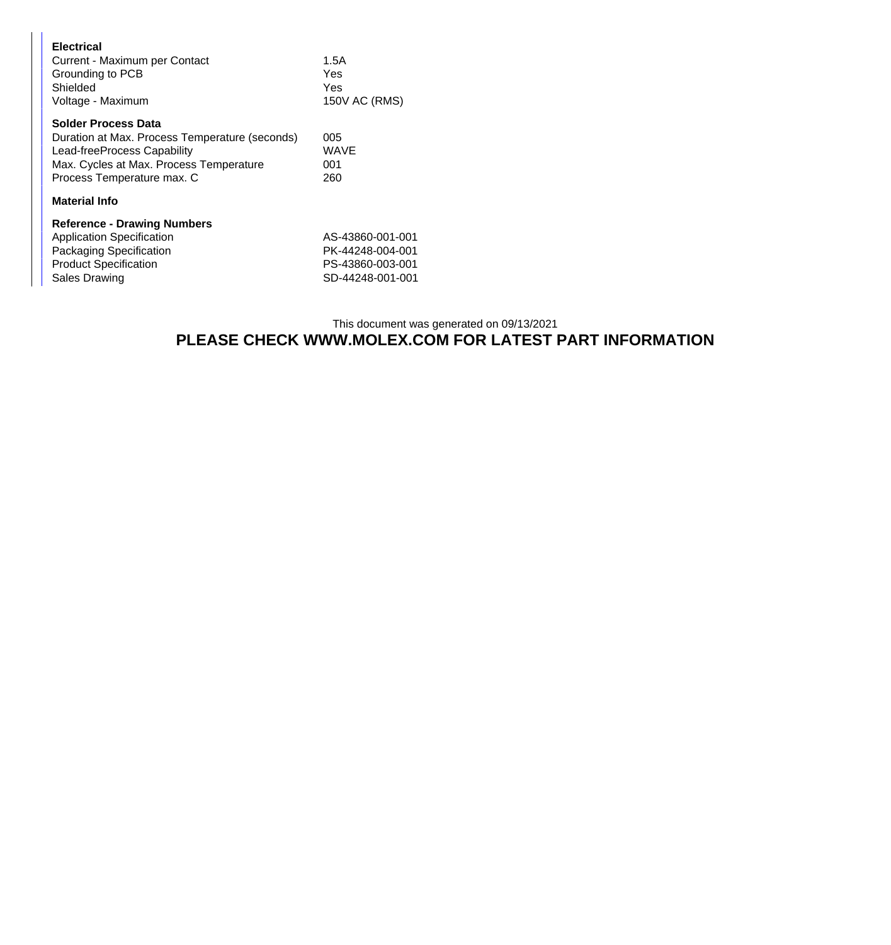| <b>Electrical</b><br>Current - Maximum per Contact<br>Grounding to PCB<br>Shielded<br>Voltage - Maximum                                                                              | 1.5A<br>Yes<br>Yes<br>150V AC (RMS)                                          |
|--------------------------------------------------------------------------------------------------------------------------------------------------------------------------------------|------------------------------------------------------------------------------|
| <b>Solder Process Data</b><br>Duration at Max. Process Temperature (seconds)<br>Lead-freeProcess Capability<br>Max. Cycles at Max. Process Temperature<br>Process Temperature max. C | 005<br>WAVE<br>001<br>260                                                    |
| <b>Material Info</b>                                                                                                                                                                 |                                                                              |
| <b>Reference - Drawing Numbers</b><br><b>Application Specification</b><br>Packaging Specification<br><b>Product Specification</b><br><b>Sales Drawing</b>                            | AS-43860-001-001<br>PK-44248-004-001<br>PS-43860-003-001<br>SD-44248-001-001 |

## This document was generated on 09/13/2021 **PLEASE CHECK WWW.MOLEX.COM FOR LATEST PART INFORMATION**